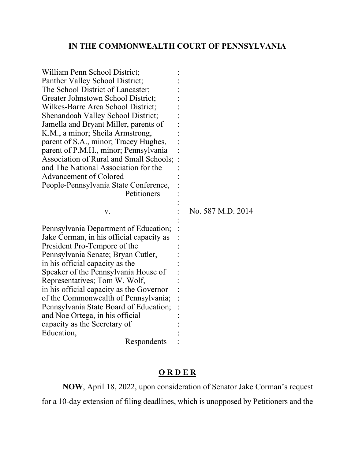## **IN THE COMMONWEALTH COURT OF PENNSYLVANIA**

| William Penn School District;            |                   |
|------------------------------------------|-------------------|
| Panther Valley School District;          |                   |
| The School District of Lancaster;        |                   |
| Greater Johnstown School District;       |                   |
| Wilkes-Barre Area School District;       |                   |
| Shenandoah Valley School District;       |                   |
| Jamella and Bryant Miller, parents of    |                   |
| K.M., a minor; Sheila Armstrong,         |                   |
| parent of S.A., minor; Tracey Hughes,    |                   |
| parent of P.M.H., minor; Pennsylvania    |                   |
| Association of Rural and Small Schools;  |                   |
| and The National Association for the     |                   |
| <b>Advancement of Colored</b>            |                   |
| People-Pennsylvania State Conference,    |                   |
| Petitioners                              |                   |
|                                          |                   |
|                                          |                   |
| v.                                       | No. 587 M.D. 2014 |
|                                          |                   |
| Pennsylvania Department of Education;    |                   |
| Jake Corman, in his official capacity as |                   |
| President Pro-Tempore of the             |                   |
| Pennsylvania Senate; Bryan Cutler,       |                   |
| in his official capacity as the          |                   |
| Speaker of the Pennsylvania House of     |                   |
| Representatives; Tom W. Wolf,            |                   |
| in his official capacity as the Governor |                   |
| of the Commonwealth of Pennsylvania;     |                   |
| Pennsylvania State Board of Education;   |                   |
| and Noe Ortega, in his official          |                   |
| capacity as the Secretary of             |                   |
| Education,                               |                   |

## **O R D E R**

**NOW**, April 18, 2022, upon consideration of Senator Jake Corman's request for a 10-day extension of filing deadlines, which is unopposed by Petitioners and the